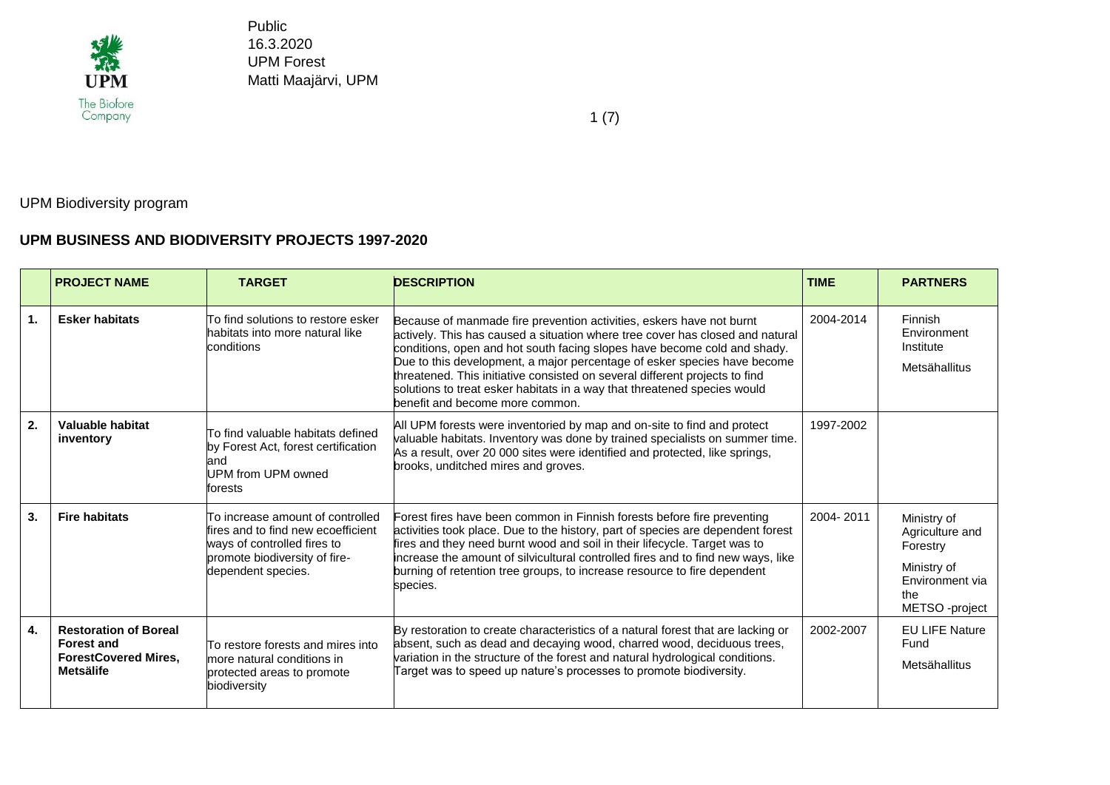

1 (7)

UPM Biodiversity program

## **UPM BUSINESS AND BIODIVERSITY PROJECTS 1997-2020**

|    | <b>PROJECT NAME</b>                                                                                  | <b>TARGET</b>                                                                                                                                                 | <b>DESCRIPTION</b>                                                                                                                                                                                                                                                                                                                                                                                                                                                                                          | <b>TIME</b> | <b>PARTNERS</b>                                                                                      |
|----|------------------------------------------------------------------------------------------------------|---------------------------------------------------------------------------------------------------------------------------------------------------------------|-------------------------------------------------------------------------------------------------------------------------------------------------------------------------------------------------------------------------------------------------------------------------------------------------------------------------------------------------------------------------------------------------------------------------------------------------------------------------------------------------------------|-------------|------------------------------------------------------------------------------------------------------|
| 1. | <b>Esker habitats</b>                                                                                | To find solutions to restore esker<br>habitats into more natural like<br>conditions                                                                           | Because of manmade fire prevention activities, eskers have not burnt<br>actively. This has caused a situation where tree cover has closed and natural<br>conditions, open and hot south facing slopes have become cold and shady.<br>Due to this development, a major percentage of esker species have become<br>threatened. This initiative consisted on several different projects to find<br>solutions to treat esker habitats in a way that threatened species would<br>benefit and become more common. | 2004-2014   | Finnish<br>Environment<br>Institute<br>Metsähallitus                                                 |
| 2. | Valuable habitat<br>inventory                                                                        | To find valuable habitats defined<br>by Forest Act, forest certification<br>and<br>UPM from UPM owned<br>forests                                              | All UPM forests were inventoried by map and on-site to find and protect<br>valuable habitats. Inventory was done by trained specialists on summer time.<br>As a result, over 20 000 sites were identified and protected, like springs,<br>brooks, unditched mires and groves.                                                                                                                                                                                                                               | 1997-2002   |                                                                                                      |
| 3. | <b>Fire habitats</b>                                                                                 | To increase amount of controlled.<br>fires and to find new ecoefficient<br>ways of controlled fires to<br>promote biodiversity of fire-<br>dependent species. | Forest fires have been common in Finnish forests before fire preventing<br>activities took place. Due to the history, part of species are dependent forest<br>fires and they need burnt wood and soil in their lifecycle. Target was to<br>increase the amount of silvicultural controlled fires and to find new ways, like<br>burning of retention tree groups, to increase resource to fire dependent<br>species.                                                                                         | 2004-2011   | Ministry of<br>Agriculture and<br>Forestry<br>Ministry of<br>Environment via<br>the<br>METSO-project |
| 4. | <b>Restoration of Boreal</b><br><b>Forest and</b><br><b>ForestCovered Mires.</b><br><b>Metsälife</b> | To restore forests and mires into<br>more natural conditions in<br>protected areas to promote<br>biodiversity                                                 | By restoration to create characteristics of a natural forest that are lacking or<br>absent, such as dead and decaying wood, charred wood, deciduous trees,<br>variation in the structure of the forest and natural hydrological conditions.<br>Target was to speed up nature's processes to promote biodiversity.                                                                                                                                                                                           | 2002-2007   | <b>EU LIFE Nature</b><br>Fund<br>Metsähallitus                                                       |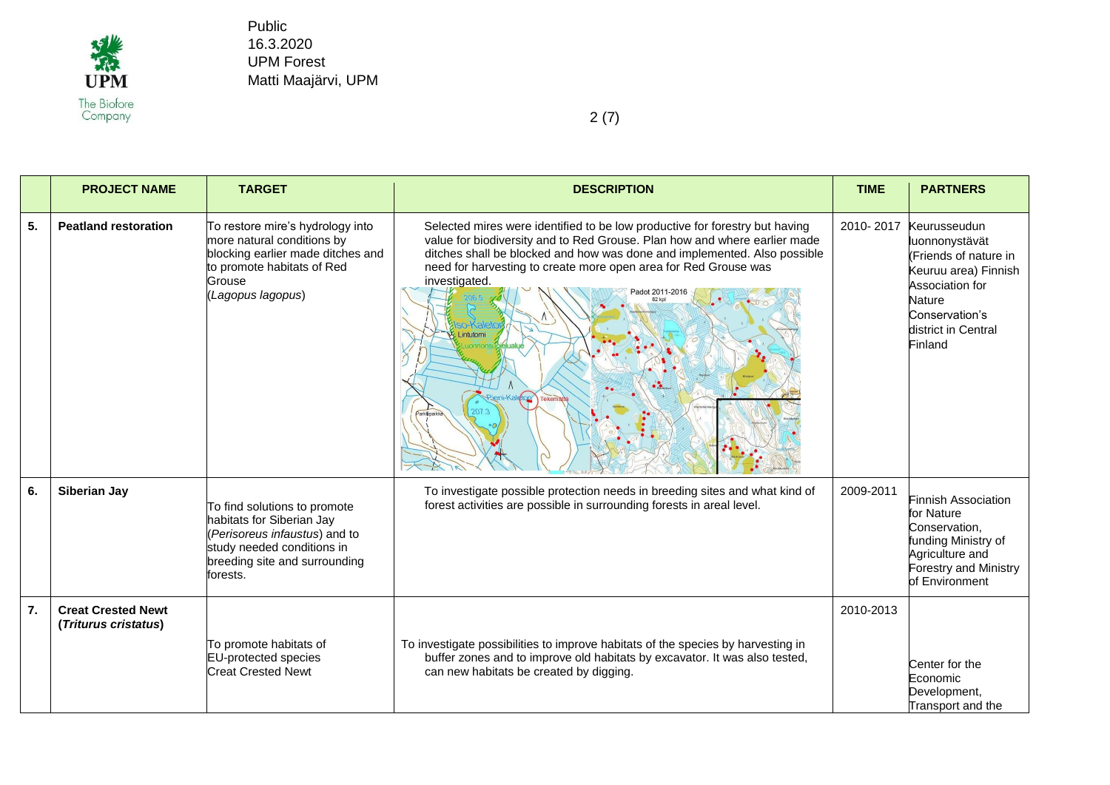

|    | <b>PROJECT NAME</b>                               | <b>TARGET</b>                                                                                                                                                         | <b>DESCRIPTION</b>                                                                                                                                                                                                                                                                                                                                                            | <b>TIME</b> | <b>PARTNERS</b>                                                                                                                                                         |
|----|---------------------------------------------------|-----------------------------------------------------------------------------------------------------------------------------------------------------------------------|-------------------------------------------------------------------------------------------------------------------------------------------------------------------------------------------------------------------------------------------------------------------------------------------------------------------------------------------------------------------------------|-------------|-------------------------------------------------------------------------------------------------------------------------------------------------------------------------|
| 5. | <b>Peatland restoration</b>                       | To restore mire's hydrology into<br>more natural conditions by<br>blocking earlier made ditches and<br>to promote habitats of Red<br>Grouse<br>(Lagopus lagopus)      | Selected mires were identified to be low productive for forestry but having<br>value for biodiversity and to Red Grouse. Plan how and where earlier made<br>ditches shall be blocked and how was done and implemented. Also possible<br>need for harvesting to create more open area for Red Grouse was<br>investigated.<br>adot 2011-2016<br><b>Ctop</b> Teker<br>arkkipaikk | 2010-2017   | Keurusseudun<br>luonnonystävät<br>(Friends of nature in<br>Keuruu area) Finnish<br>Association for<br><b>Nature</b><br>Conservation's<br>district in Central<br>Finland |
| 6. | Siberian Jay                                      | To find solutions to promote<br>habitats for Siberian Jay<br>(Perisoreus infaustus) and to<br>study needed conditions in<br>breeding site and surrounding<br>forests. | To investigate possible protection needs in breeding sites and what kind of<br>forest activities are possible in surrounding forests in areal level.                                                                                                                                                                                                                          | 2009-2011   | <b>Finnish Association</b><br>for Nature<br>Conservation,<br>funding Ministry of<br>Agriculture and<br><b>Forestry and Ministry</b><br>of Environment                   |
| 7. | <b>Creat Crested Newt</b><br>(Triturus cristatus) | To promote habitats of<br><b>EU-protected species</b><br><b>Creat Crested Newt</b>                                                                                    | To investigate possibilities to improve habitats of the species by harvesting in<br>buffer zones and to improve old habitats by excavator. It was also tested,<br>can new habitats be created by digging.                                                                                                                                                                     | 2010-2013   | Center for the<br>Economic<br>Development,<br>Transport and the                                                                                                         |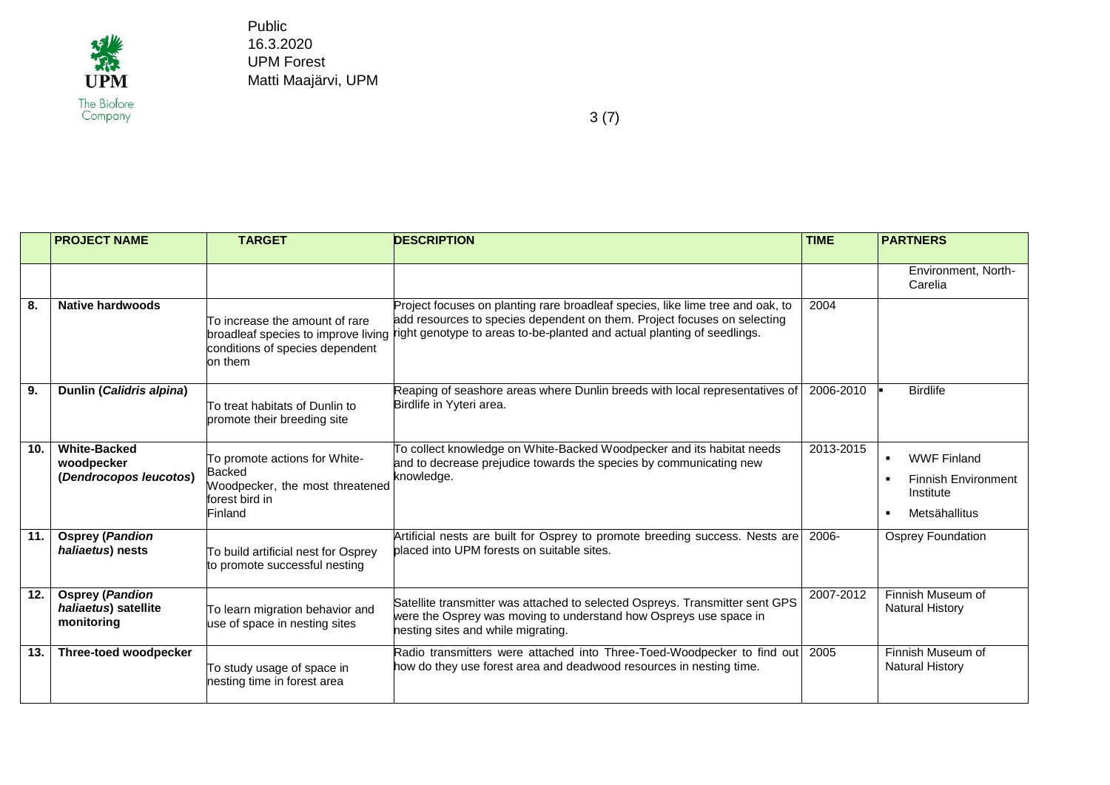

|                  | <b>PROJECT NAME</b>                                          | <b>TARGET</b>                                                                                                  | <b>DESCRIPTION</b>                                                                                                                                                                                                                                                        | <b>TIME</b> | <b>PARTNERS</b>                                                                                                    |
|------------------|--------------------------------------------------------------|----------------------------------------------------------------------------------------------------------------|---------------------------------------------------------------------------------------------------------------------------------------------------------------------------------------------------------------------------------------------------------------------------|-------------|--------------------------------------------------------------------------------------------------------------------|
|                  |                                                              |                                                                                                                |                                                                                                                                                                                                                                                                           |             | Environment. North-<br>Carelia                                                                                     |
| 8.               | Native hardwoods                                             | To increase the amount of rare<br>conditions of species dependent<br>on them                                   | Project focuses on planting rare broadleaf species, like lime tree and oak, to<br>add resources to species dependent on them. Project focuses on selecting<br>broadleaf species to improve living right genotype to areas to-be-planted and actual planting of seedlings. | 2004        |                                                                                                                    |
| $\overline{9}$ . | Dunlin (Calidris alpina)                                     | To treat habitats of Dunlin to<br>promote their breeding site                                                  | Reaping of seashore areas where Dunlin breeds with local representatives of<br>Birdlife in Yyteri area.                                                                                                                                                                   | 2006-2010   | <b>Birdlife</b>                                                                                                    |
| 10.              | <b>White-Backed</b><br>woodpecker<br>(Dendrocopos leucotos)  | To promote actions for White-<br><b>Backed</b><br>Woodpecker, the most threatened<br>forest bird in<br>Finland | To collect knowledge on White-Backed Woodpecker and its habitat needs<br>and to decrease prejudice towards the species by communicating new<br>knowledge.                                                                                                                 | 2013-2015   | <b>WWF Finland</b><br>$\blacksquare$<br><b>Finnish Environment</b><br>$\blacksquare$<br>Institute<br>Metsähallitus |
| 11.              | <b>Osprey (Pandion</b><br>haliaetus) nests                   | To build artificial nest for Osprey<br>to promote successful nesting                                           | Artificial nests are built for Osprey to promote breeding success. Nests are<br>placed into UPM forests on suitable sites.                                                                                                                                                | 2006-       | Osprey Foundation                                                                                                  |
| 12.              | <b>Osprey (Pandion</b><br>haliaetus) satellite<br>monitoring | To learn migration behavior and<br>use of space in nesting sites                                               | Satellite transmitter was attached to selected Ospreys. Transmitter sent GPS<br>were the Osprey was moving to understand how Ospreys use space in<br>nesting sites and while migrating.                                                                                   | 2007-2012   | Finnish Museum of<br><b>Natural History</b>                                                                        |
| 13.              | Three-toed woodpecker                                        | To study usage of space in<br>hesting time in forest area                                                      | Radio transmitters were attached into Three-Toed-Woodpecker to find out<br>how do they use forest area and deadwood resources in nesting time.                                                                                                                            | 2005        | Finnish Museum of<br><b>Natural History</b>                                                                        |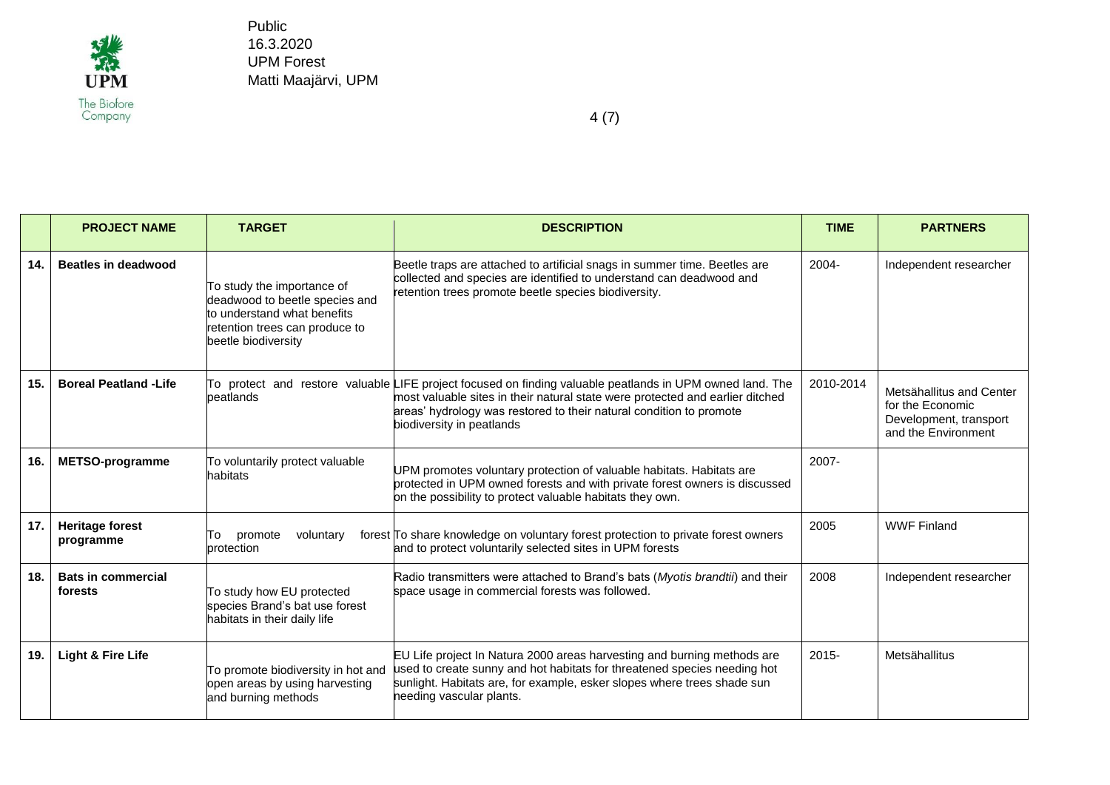

|     | <b>PROJECT NAME</b>                  | <b>TARGET</b>                                                                                                                                        | <b>DESCRIPTION</b>                                                                                                                                                                                                                                                                             | <b>TIME</b> | <b>PARTNERS</b>                                                                               |
|-----|--------------------------------------|------------------------------------------------------------------------------------------------------------------------------------------------------|------------------------------------------------------------------------------------------------------------------------------------------------------------------------------------------------------------------------------------------------------------------------------------------------|-------------|-----------------------------------------------------------------------------------------------|
| 14. | <b>Beatles in deadwood</b>           | To study the importance of<br>deadwood to beetle species and<br>to understand what benefits<br>retention trees can produce to<br>beetle biodiversity | Beetle traps are attached to artificial snags in summer time. Beetles are<br>collected and species are identified to understand can deadwood and<br>retention trees promote beetle species biodiversity.                                                                                       | $2004 -$    | Independent researcher                                                                        |
| 15. | <b>Boreal Peatland -Life</b>         | peatlands                                                                                                                                            | To protect and restore valuable LIFE project focused on finding valuable peatlands in UPM owned land. The<br>most valuable sites in their natural state were protected and earlier ditched<br>areas' hydrology was restored to their natural condition to promote<br>biodiversity in peatlands | 2010-2014   | Metsähallitus and Center<br>for the Economic<br>Development, transport<br>and the Environment |
| 16. | <b>METSO-programme</b>               | To voluntarily protect valuable<br>habitats                                                                                                          | UPM promotes voluntary protection of valuable habitats. Habitats are<br>protected in UPM owned forests and with private forest owners is discussed<br>on the possibility to protect valuable habitats they own.                                                                                | 2007-       |                                                                                               |
| 17. | <b>Heritage forest</b><br>programme  | promote<br>voluntary<br>To<br>protection                                                                                                             | forest To share knowledge on voluntary forest protection to private forest owners<br>and to protect voluntarily selected sites in UPM forests                                                                                                                                                  | 2005        | <b>WWF Finland</b>                                                                            |
| 18. | <b>Bats in commercial</b><br>forests | To study how EU protected<br>species Brand's bat use forest<br>habitats in their daily life                                                          | Radio transmitters were attached to Brand's bats (Myotis brandtii) and their<br>space usage in commercial forests was followed.                                                                                                                                                                | 2008        | Independent researcher                                                                        |
| 19. | <b>Light &amp; Fire Life</b>         | To promote biodiversity in hot and<br>open areas by using harvesting<br>and burning methods                                                          | EU Life project In Natura 2000 areas harvesting and burning methods are<br>used to create sunny and hot habitats for threatened species needing hot<br>sunlight. Habitats are, for example, esker slopes where trees shade sun<br>needing vascular plants.                                     | $2015 -$    | Metsähallitus                                                                                 |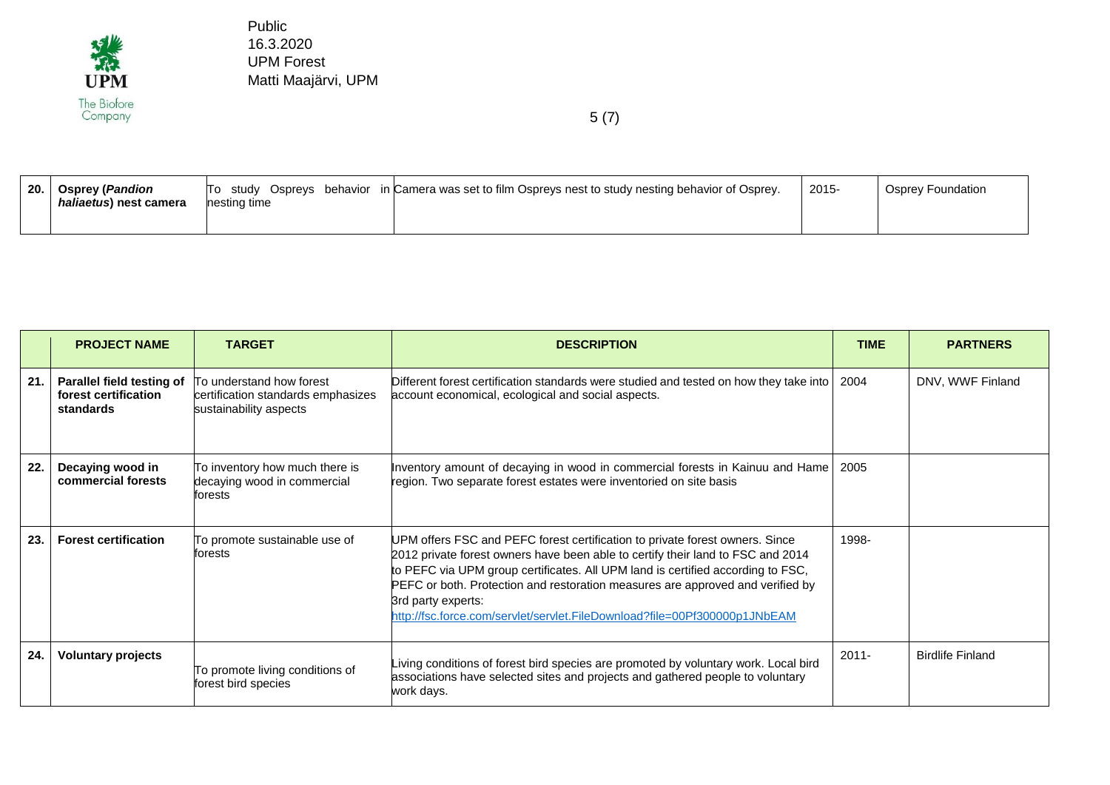

| $\overline{20}$ . | <b>Osprey (Pandion</b><br><i>haliaetus</i> ) nest camera | study Osprevs behavior<br>П٥<br>nesting time | in Camera was set to film Ospreys nest to study nesting behavior of Osprey. | 2015- | Osprey Foundation |
|-------------------|----------------------------------------------------------|----------------------------------------------|-----------------------------------------------------------------------------|-------|-------------------|
|-------------------|----------------------------------------------------------|----------------------------------------------|-----------------------------------------------------------------------------|-------|-------------------|

|     | <b>PROJECT NAME</b>                                            | <b>TARGET</b>                                                                            | <b>DESCRIPTION</b>                                                                                                                                                                                                                                                                                                                                                                                                                      | <b>TIME</b> | <b>PARTNERS</b>         |
|-----|----------------------------------------------------------------|------------------------------------------------------------------------------------------|-----------------------------------------------------------------------------------------------------------------------------------------------------------------------------------------------------------------------------------------------------------------------------------------------------------------------------------------------------------------------------------------------------------------------------------------|-------------|-------------------------|
| 21. | Parallel field testing of<br>forest certification<br>standards | To understand how forest<br>certification standards emphasizes<br>sustainability aspects | Different forest certification standards were studied and tested on how they take into<br>account economical, ecological and social aspects.                                                                                                                                                                                                                                                                                            | 2004        | DNV, WWF Finland        |
| 22. | Decaying wood in<br>commercial forests                         | To inventory how much there is<br>decaying wood in commercial<br>forests                 | Inventory amount of decaying in wood in commercial forests in Kainuu and Hame<br>region. Two separate forest estates were inventoried on site basis                                                                                                                                                                                                                                                                                     | 2005        |                         |
| 23. | <b>Forest certification</b>                                    | To promote sustainable use of<br>forests                                                 | UPM offers FSC and PEFC forest certification to private forest owners. Since<br>2012 private forest owners have been able to certify their land to FSC and 2014<br>to PEFC via UPM group certificates. All UPM land is certified according to FSC,<br>PEFC or both. Protection and restoration measures are approved and verified by<br>3rd party experts:<br>http://fsc.force.com/servlet/servlet.FileDownload?file=00Pf300000p1JNbEAM | 1998-       |                         |
| 24. | <b>Voluntary projects</b>                                      | To promote living conditions of<br>forest bird species                                   | Living conditions of forest bird species are promoted by voluntary work. Local bird<br>associations have selected sites and projects and gathered people to voluntary<br>work days.                                                                                                                                                                                                                                                     | $2011 -$    | <b>Birdlife Finland</b> |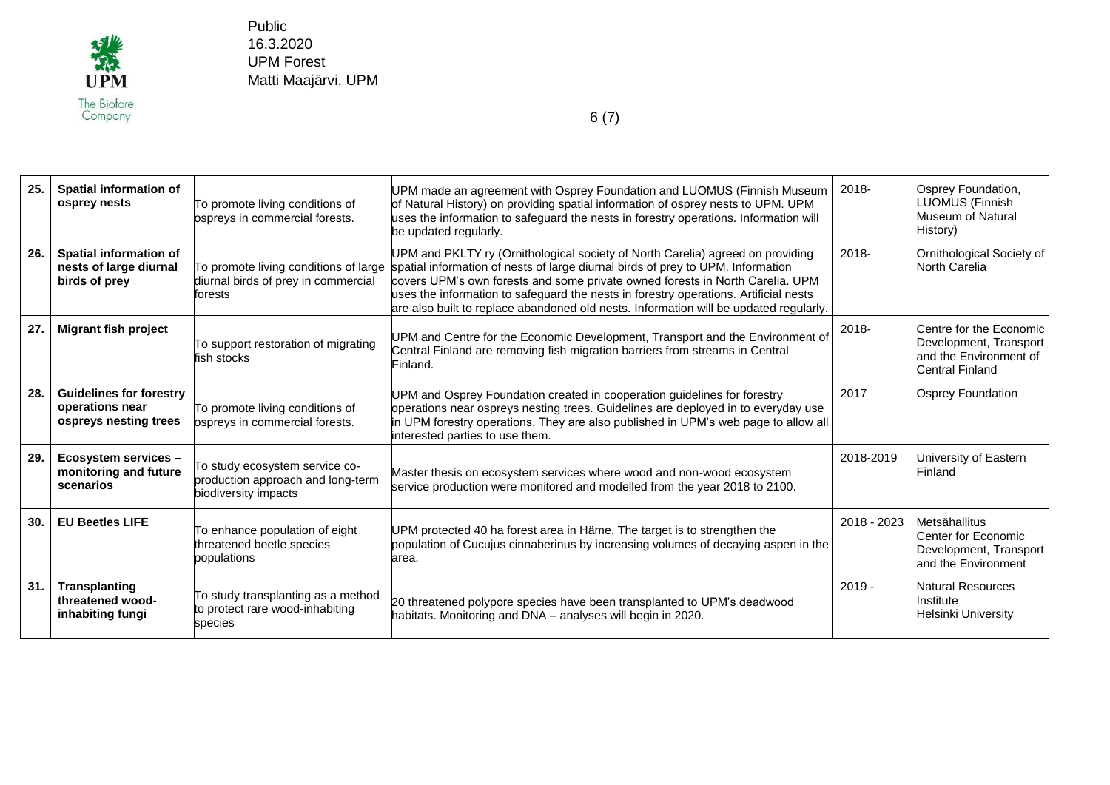

| 25. | <b>Spatial information of</b><br>osprey nests                              | To promote living conditions of<br>ospreys in commercial forests.                           | UPM made an agreement with Osprey Foundation and LUOMUS (Finnish Museum<br>of Natural History) on providing spatial information of osprey nests to UPM. UPM<br>uses the information to safeguard the nests in forestry operations. Information will<br>be updated regularly.                                                                                                                                                        | 2018-       | Osprey Foundation,<br><b>LUOMUS (Finnish</b><br><b>Museum of Natural</b><br>History)                  |
|-----|----------------------------------------------------------------------------|---------------------------------------------------------------------------------------------|-------------------------------------------------------------------------------------------------------------------------------------------------------------------------------------------------------------------------------------------------------------------------------------------------------------------------------------------------------------------------------------------------------------------------------------|-------------|-------------------------------------------------------------------------------------------------------|
| 26. | Spatial information of<br>nests of large diurnal<br>birds of prey          | To promote living conditions of large<br>diurnal birds of prey in commercial<br>forests     | UPM and PKLTY ry (Ornithological society of North Carelia) agreed on providing<br>spatial information of nests of large diurnal birds of prey to UPM. Information<br>covers UPM's own forests and some private owned forests in North Carelia. UPM<br>uses the information to safeguard the nests in forestry operations. Artificial nests<br>are also built to replace abandoned old nests. Information will be updated regularly. | 2018-       | Ornithological Society of<br>North Carelia                                                            |
| 27. | <b>Migrant fish project</b>                                                | To support restoration of migrating<br>fish stocks                                          | UPM and Centre for the Economic Development, Transport and the Environment of<br>Central Finland are removing fish migration barriers from streams in Central<br>Finland.                                                                                                                                                                                                                                                           | $2018 -$    | Centre for the Economic<br>Development, Transport<br>and the Environment of<br><b>Central Finland</b> |
| 28. | <b>Guidelines for forestry</b><br>operations near<br>ospreys nesting trees | To promote living conditions of<br>ospreys in commercial forests.                           | UPM and Osprey Foundation created in cooperation guidelines for forestry<br>operations near ospreys nesting trees. Guidelines are deployed in to everyday use<br>in UPM forestry operations. They are also published in UPM's web page to allow all<br>interested parties to use them.                                                                                                                                              | 2017        | <b>Osprey Foundation</b>                                                                              |
| 29. | Ecosystem services -<br>monitoring and future<br>scenarios                 | To study ecosystem service co-<br>production approach and long-term<br>biodiversity impacts | Master thesis on ecosystem services where wood and non-wood ecosystem<br>service production were monitored and modelled from the year 2018 to 2100.                                                                                                                                                                                                                                                                                 | 2018-2019   | University of Eastern<br>Finland                                                                      |
| 30. | <b>EU Beetles LIFE</b>                                                     | To enhance population of eight<br>threatened beetle species<br>populations                  | UPM protected 40 ha forest area in Häme. The target is to strengthen the<br>population of Cucujus cinnaberinus by increasing volumes of decaying aspen in the<br>area.                                                                                                                                                                                                                                                              | 2018 - 2023 | Metsähallitus<br>Center for Economic<br>Development, Transport<br>and the Environment                 |
| 31. | <b>Transplanting</b><br>threatened wood-<br>inhabiting fungi               | To study transplanting as a method<br>to protect rare wood-inhabiting<br>species            | 20 threatened polypore species have been transplanted to UPM's deadwood<br>habitats. Monitoring and DNA - analyses will begin in 2020.                                                                                                                                                                                                                                                                                              | $2019 -$    | <b>Natural Resources</b><br>Institute<br>Helsinki University                                          |